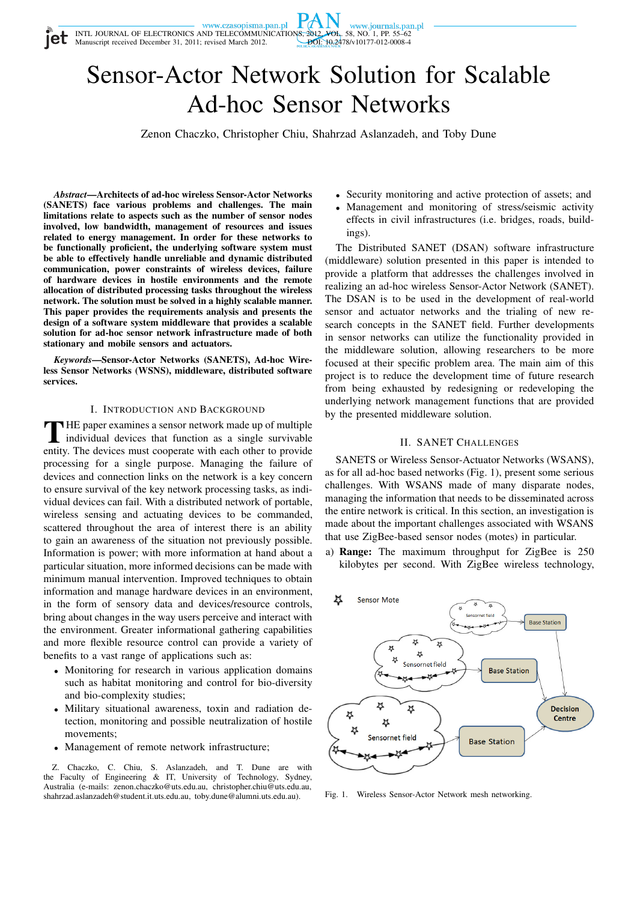# Sensor-Actor Network Solution for Scalable Ad-hoc Sensor Networks

Zenon Chaczko, Christopher Chiu, Shahrzad Aslanzadeh, and Toby Dune

*Abstract***—Architects of ad-hoc wireless Sensor-Actor Networks (SANETS) face various problems and challenges. The main limitations relate to aspects such as the number of sensor nodes involved, low bandwidth, management of resources and issues related to energy management. In order for these networks to be functionally proficient, the underlying software system must be able to effectively handle unreliable and dynamic distributed communication, power constraints of wireless devices, failure of hardware devices in hostile environments and the remote allocation of distributed processing tasks throughout the wireless network. The solution must be solved in a highly scalable manner. This paper provides the requirements analysis and presents the design of a software system middleware that provides a scalable solution for ad-hoc sensor network infrastructure made of both stationary and mobile sensors and actuators.**

*Keywords***—Sensor-Actor Networks (SANETS), Ad-hoc Wireless Sensor Networks (WSNS), middleware, distributed software services.**

# I. INTRODUCTION AND BACKGROUND

**T**HE paper examines a sensor network made up of multiple individual devices that function as a single survivable HE paper examines a sensor network made up of multiple entity. The devices must cooperate with each other to provide processing for a single purpose. Managing the failure of devices and connection links on the network is a key concern to ensure survival of the key network processing tasks, as individual devices can fail. With a distributed network of portable, wireless sensing and actuating devices to be commanded, scattered throughout the area of interest there is an ability to gain an awareness of the situation not previously possible. Information is power; with more information at hand about a particular situation, more informed decisions can be made with minimum manual intervention. Improved techniques to obtain information and manage hardware devices in an environment, in the form of sensory data and devices/resource controls, bring about changes in the way users perceive and interact with the environment. Greater informational gathering capabilities and more flexible resource control can provide a variety of benefits to a vast range of applications such as:

- Monitoring for research in various application domains such as habitat monitoring and control for bio-diversity and bio-complexity studies;
- Military situational awareness, toxin and radiation detection, monitoring and possible neutralization of hostile movements;
- Management of remote network infrastructure;

Z. Chaczko, C. Chiu, S. Aslanzadeh, and T. Dune are with the Faculty of Engineering & IT, University of Technology, Sydney, Australia (e-mails: zenon.chaczko@uts.edu.au, christopher.chiu@uts.edu.au, shahrzad.aslanzadeh@student.it.uts.edu.au, toby.dune@alumni.uts.edu.au).

- Security monitoring and active protection of assets; and
- Management and monitoring of stress/seismic activity effects in civil infrastructures (i.e. bridges, roads, buildings).

The Distributed SANET (DSAN) software infrastructure (middleware) solution presented in this paper is intended to provide a platform that addresses the challenges involved in realizing an ad-hoc wireless Sensor-Actor Network (SANET). The DSAN is to be used in the development of real-world sensor and actuator networks and the trialing of new research concepts in the SANET field. Further developments in sensor networks can utilize the functionality provided in the middleware solution, allowing researchers to be more focused at their specific problem area. The main aim of this project is to reduce the development time of future research from being exhausted by redesigning or redeveloping the underlying network management functions that are provided by the presented middleware solution.

# II. SANET CHALLENGES

SANETS or Wireless Sensor-Actuator Networks (WSANS), as for all ad-hoc based networks (Fig. 1), present some serious challenges. With WSANS made of many disparate nodes, managing the information that needs to be disseminated across the entire network is critical. In this section, an investigation is made about the important challenges associated with WSANS that use ZigBee-based sensor nodes (motes) in particular.

a) **Range:** The maximum throughput for ZigBee is 250 kilobytes per second. With ZigBee wireless technology,



Fig. 1. Wireless Sensor-Actor Network mesh networking.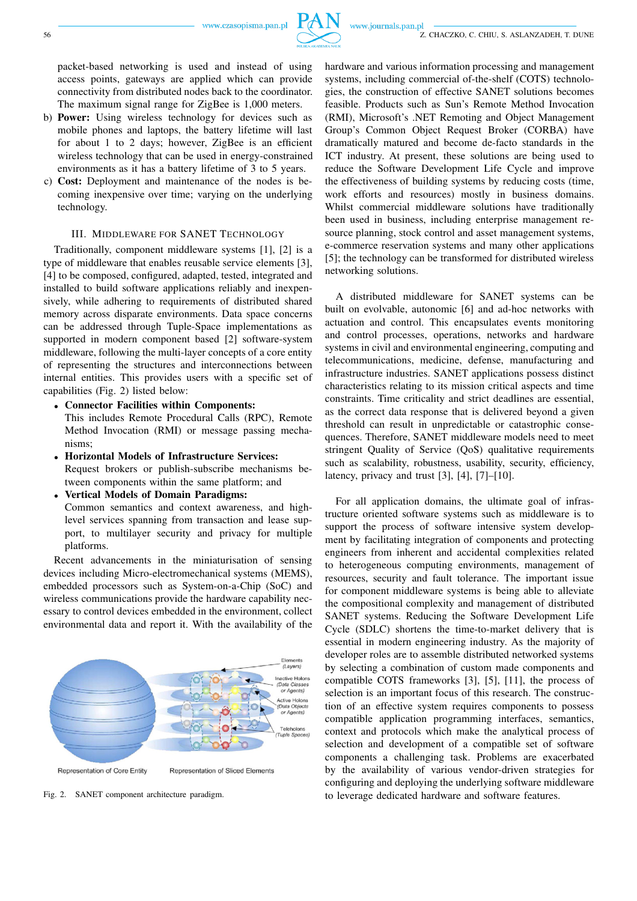

www.journals.pan.pl

56 Z. CHACZKO, C. CHIU, S. ASLANZADEH, T. DUNE

packet-based networking is used and instead of using access points, gateways are applied which can provide connectivity from distributed nodes back to the coordinator. The maximum signal range for ZigBee is 1,000 meters.

- b) **Power:** Using wireless technology for devices such as mobile phones and laptops, the battery lifetime will last for about 1 to 2 days; however, ZigBee is an efficient wireless technology that can be used in energy-constrained environments as it has a battery lifetime of 3 to 5 years.
- c) **Cost:** Deployment and maintenance of the nodes is becoming inexpensive over time; varying on the underlying technology.

# III. MIDDLEWARE FOR SANET TECHNOLOGY

Traditionally, component middleware systems [1], [2] is a type of middleware that enables reusable service elements [3], [4] to be composed, configured, adapted, tested, integrated and installed to build software applications reliably and inexpensively, while adhering to requirements of distributed shared memory across disparate environments. Data space concerns can be addressed through Tuple-Space implementations as supported in modern component based [2] software-system middleware, following the multi-layer concepts of a core entity of representing the structures and interconnections between internal entities. This provides users with a specific set of capabilities (Fig. 2) listed below:

- **Connector Facilities within Components:** This includes Remote Procedural Calls (RPC), Remote Method Invocation (RMI) or message passing mecha-
- nisms; • **Horizontal Models of Infrastructure Services:** Request brokers or publish-subscribe mechanisms between components within the same platform; and

• **Vertical Models of Domain Paradigms:**

Common semantics and context awareness, and highlevel services spanning from transaction and lease support, to multilayer security and privacy for multiple platforms.

Recent advancements in the miniaturisation of sensing devices including Micro-electromechanical systems (MEMS), embedded processors such as System-on-a-Chip (SoC) and wireless communications provide the hardware capability necessary to control devices embedded in the environment, collect environmental data and report it. With the availability of the



Fig. 2. SANET component architecture paradigm.

hardware and various information processing and management systems, including commercial of-the-shelf (COTS) technologies, the construction of effective SANET solutions becomes feasible. Products such as Sun's Remote Method Invocation (RMI), Microsoft's .NET Remoting and Object Management Group's Common Object Request Broker (CORBA) have dramatically matured and become de-facto standards in the ICT industry. At present, these solutions are being used to reduce the Software Development Life Cycle and improve the effectiveness of building systems by reducing costs (time, work efforts and resources) mostly in business domains. Whilst commercial middleware solutions have traditionally been used in business, including enterprise management resource planning, stock control and asset management systems, e-commerce reservation systems and many other applications [5]; the technology can be transformed for distributed wireless networking solutions.

A distributed middleware for SANET systems can be built on evolvable, autonomic [6] and ad-hoc networks with actuation and control. This encapsulates events monitoring and control processes, operations, networks and hardware systems in civil and environmental engineering, computing and telecommunications, medicine, defense, manufacturing and infrastructure industries. SANET applications possess distinct characteristics relating to its mission critical aspects and time constraints. Time criticality and strict deadlines are essential, as the correct data response that is delivered beyond a given threshold can result in unpredictable or catastrophic consequences. Therefore, SANET middleware models need to meet stringent Quality of Service (QoS) qualitative requirements such as scalability, robustness, usability, security, efficiency, latency, privacy and trust [3], [4], [7]–[10].

For all application domains, the ultimate goal of infrastructure oriented software systems such as middleware is to support the process of software intensive system development by facilitating integration of components and protecting engineers from inherent and accidental complexities related to heterogeneous computing environments, management of resources, security and fault tolerance. The important issue for component middleware systems is being able to alleviate the compositional complexity and management of distributed SANET systems. Reducing the Software Development Life Cycle (SDLC) shortens the time-to-market delivery that is essential in modern engineering industry. As the majority of developer roles are to assemble distributed networked systems by selecting a combination of custom made components and compatible COTS frameworks [3], [5], [11], the process of selection is an important focus of this research. The construction of an effective system requires components to possess compatible application programming interfaces, semantics, context and protocols which make the analytical process of selection and development of a compatible set of software components a challenging task. Problems are exacerbated by the availability of various vendor-driven strategies for configuring and deploying the underlying software middleware to leverage dedicated hardware and software features.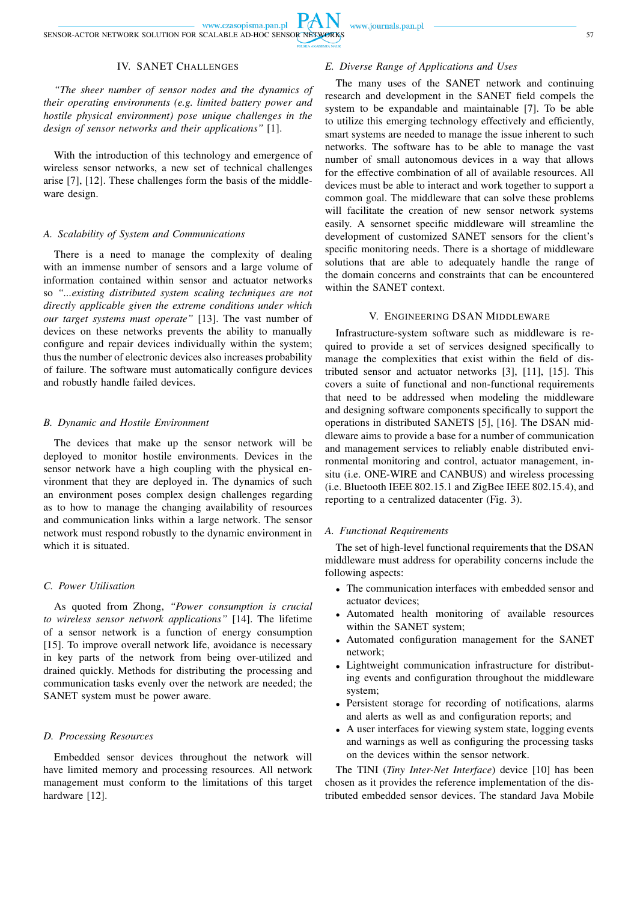*"The sheer number of sensor nodes and the dynamics of their operating environments (e.g. limited battery power and hostile physical environment) pose unique challenges in the design of sensor networks and their applications"* [1].

With the introduction of this technology and emergence of wireless sensor networks, a new set of technical challenges arise [7], [12]. These challenges form the basis of the middleware design.

# *A. Scalability of System and Communications*

There is a need to manage the complexity of dealing with an immense number of sensors and a large volume of information contained within sensor and actuator networks so *"...existing distributed system scaling techniques are not directly applicable given the extreme conditions under which our target systems must operate"* [13]. The vast number of devices on these networks prevents the ability to manually configure and repair devices individually within the system; thus the number of electronic devices also increases probability of failure. The software must automatically configure devices and robustly handle failed devices.

#### *B. Dynamic and Hostile Environment*

The devices that make up the sensor network will be deployed to monitor hostile environments. Devices in the sensor network have a high coupling with the physical environment that they are deployed in. The dynamics of such an environment poses complex design challenges regarding as to how to manage the changing availability of resources and communication links within a large network. The sensor network must respond robustly to the dynamic environment in which it is situated.

# *C. Power Utilisation*

As quoted from Zhong, *"Power consumption is crucial to wireless sensor network applications"* [14]. The lifetime of a sensor network is a function of energy consumption [15]. To improve overall network life, avoidance is necessary in key parts of the network from being over-utilized and drained quickly. Methods for distributing the processing and communication tasks evenly over the network are needed; the SANET system must be power aware.

# *D. Processing Resources*

Embedded sensor devices throughout the network will have limited memory and processing resources. All network management must conform to the limitations of this target hardware [12].

# *E. Diverse Range of Applications and Uses*

The many uses of the SANET network and continuing research and development in the SANET field compels the system to be expandable and maintainable [7]. To be able to utilize this emerging technology effectively and efficiently, smart systems are needed to manage the issue inherent to such networks. The software has to be able to manage the vast number of small autonomous devices in a way that allows for the effective combination of all of available resources. All devices must be able to interact and work together to support a common goal. The middleware that can solve these problems will facilitate the creation of new sensor network systems easily. A sensornet specific middleware will streamline the development of customized SANET sensors for the client's specific monitoring needs. There is a shortage of middleware solutions that are able to adequately handle the range of the domain concerns and constraints that can be encountered within the SANET context.

## V. ENGINEERING DSAN MIDDLEWARE

Infrastructure-system software such as middleware is required to provide a set of services designed specifically to manage the complexities that exist within the field of distributed sensor and actuator networks [3], [11], [15]. This covers a suite of functional and non-functional requirements that need to be addressed when modeling the middleware and designing software components specifically to support the operations in distributed SANETS [5], [16]. The DSAN middleware aims to provide a base for a number of communication and management services to reliably enable distributed environmental monitoring and control, actuator management, insitu (i.e. ONE-WIRE and CANBUS) and wireless processing (i.e. Bluetooth IEEE 802.15.1 and ZigBee IEEE 802.15.4), and reporting to a centralized datacenter (Fig. 3).

# *A. Functional Requirements*

The set of high-level functional requirements that the DSAN middleware must address for operability concerns include the following aspects:

- The communication interfaces with embedded sensor and actuator devices;
- Automated health monitoring of available resources within the SANET system;
- Automated configuration management for the SANET network;
- Lightweight communication infrastructure for distributing events and configuration throughout the middleware system;
- Persistent storage for recording of notifications, alarms and alerts as well as and configuration reports; and
- A user interfaces for viewing system state, logging events and warnings as well as configuring the processing tasks on the devices within the sensor network.

The TINI (*Tiny Inter-Net Interface*) device [10] has been chosen as it provides the reference implementation of the distributed embedded sensor devices. The standard Java Mobile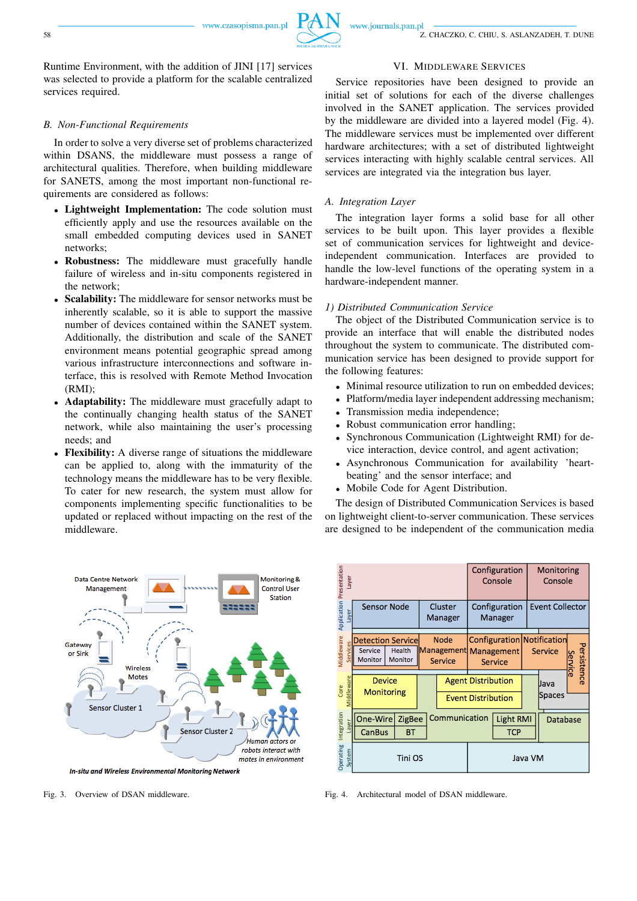

#### VI. MIDDLEWARE SERVICES

Runtime Environment, with the addition of JINI [17] services was selected to provide a platform for the scalable centralized services required.

## *B. Non-Functional Requirements*

In order to solve a very diverse set of problems characterized within DSANS, the middleware must possess a range of architectural qualities. Therefore, when building middleware for SANETS, among the most important non-functional requirements are considered as follows:

- **Lightweight Implementation:** The code solution must efficiently apply and use the resources available on the small embedded computing devices used in SANET networks;
- **Robustness:** The middleware must gracefully handle failure of wireless and in-situ components registered in the network;
- Scalability: The middleware for sensor networks must be inherently scalable, so it is able to support the massive number of devices contained within the SANET system. Additionally, the distribution and scale of the SANET environment means potential geographic spread among various infrastructure interconnections and software interface, this is resolved with Remote Method Invocation (RMI);
- **Adaptability:** The middleware must gracefully adapt to the continually changing health status of the SANET network, while also maintaining the user's processing needs; and
- **Flexibility:** A diverse range of situations the middleware can be applied to, along with the immaturity of the technology means the middleware has to be very flexible. To cater for new research, the system must allow for components implementing specific functionalities to be updated or replaced without impacting on the rest of the middleware.



**In-situ and Wireless Environmental Monitoring Network** 



Service repositories have been designed to provide an initial set of solutions for each of the diverse challenges involved in the SANET application. The services provided by the middleware are divided into a layered model (Fig. 4). The middleware services must be implemented over different hardware architectures; with a set of distributed lightweight services interacting with highly scalable central services. All services are integrated via the integration bus layer.

# *A. Integration Layer*

The integration layer forms a solid base for all other services to be built upon. This layer provides a flexible set of communication services for lightweight and deviceindependent communication. Interfaces are provided to handle the low-level functions of the operating system in a hardware-independent manner.

# *1) Distributed Communication Service*

The object of the Distributed Communication service is to provide an interface that will enable the distributed nodes throughout the system to communicate. The distributed communication service has been designed to provide support for the following features:

- Minimal resource utilization to run on embedded devices;
- Platform/media layer independent addressing mechanism;
- Transmission media independence;
- Robust communication error handling;
- Synchronous Communication (Lightweight RMI) for device interaction, device control, and agent activation;
- Asynchronous Communication for availability 'heartbeating' and the sensor interface; and
- Mobile Code for Agent Distribution.

The design of Distributed Communication Services is based on lightweight client-to-server communication. These services are designed to be independent of the communication media



Fig. 4. Architectural model of DSAN middleware.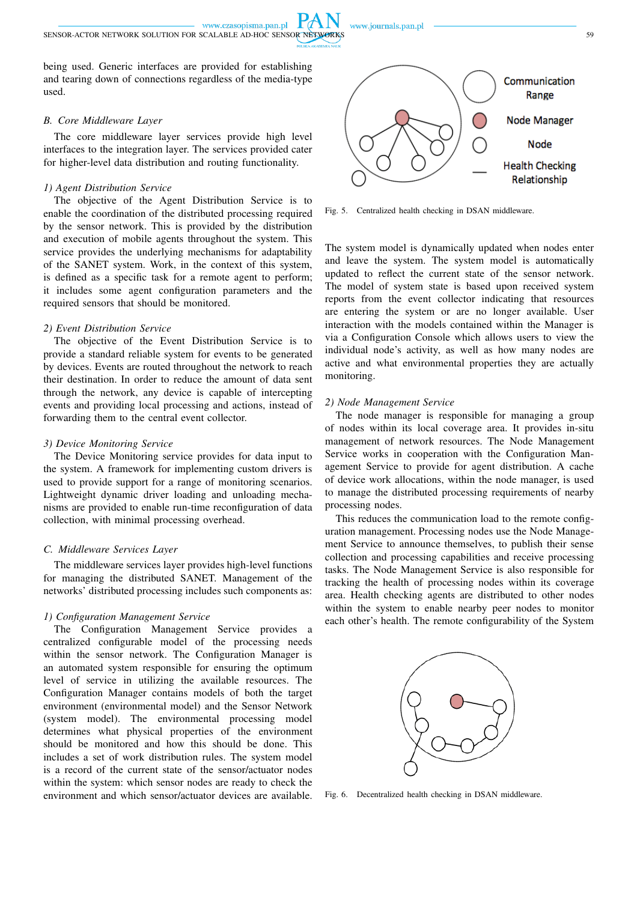SENSOR-ACTOR NETWORK SOLUTION FOR SCALABLE AD-HOC SENSOR NETWORKS 59

www.czasopisma.pan.pl

being used. Generic interfaces are provided for establishing and tearing down of connections regardless of the media-type used.

# *B. Core Middleware Layer*

The core middleware layer services provide high level interfaces to the integration layer. The services provided cater for higher-level data distribution and routing functionality.

## *1) Agent Distribution Service*

The objective of the Agent Distribution Service is to enable the coordination of the distributed processing required by the sensor network. This is provided by the distribution and execution of mobile agents throughout the system. This service provides the underlying mechanisms for adaptability of the SANET system. Work, in the context of this system, is defined as a specific task for a remote agent to perform; it includes some agent configuration parameters and the required sensors that should be monitored.

#### *2) Event Distribution Service*

The objective of the Event Distribution Service is to provide a standard reliable system for events to be generated by devices. Events are routed throughout the network to reach their destination. In order to reduce the amount of data sent through the network, any device is capable of intercepting events and providing local processing and actions, instead of forwarding them to the central event collector.

#### *3) Device Monitoring Service*

The Device Monitoring service provides for data input to the system. A framework for implementing custom drivers is used to provide support for a range of monitoring scenarios. Lightweight dynamic driver loading and unloading mechanisms are provided to enable run-time reconfiguration of data collection, with minimal processing overhead.

# *C. Middleware Services Layer*

The middleware services layer provides high-level functions for managing the distributed SANET. Management of the networks' distributed processing includes such components as:

# *1) Configuration Management Service*

The Configuration Management Service provides a centralized configurable model of the processing needs within the sensor network. The Configuration Manager is an automated system responsible for ensuring the optimum level of service in utilizing the available resources. The Configuration Manager contains models of both the target environment (environmental model) and the Sensor Network (system model). The environmental processing model determines what physical properties of the environment should be monitored and how this should be done. This includes a set of work distribution rules. The system model is a record of the current state of the sensor/actuator nodes within the system: which sensor nodes are ready to check the environment and which sensor/actuator devices are available. Communication Range Node Manager Node **Health Checking** Relationship

Fig. 5. Centralized health checking in DSAN middleware.

The system model is dynamically updated when nodes enter and leave the system. The system model is automatically updated to reflect the current state of the sensor network. The model of system state is based upon received system reports from the event collector indicating that resources are entering the system or are no longer available. User interaction with the models contained within the Manager is via a Configuration Console which allows users to view the individual node's activity, as well as how many nodes are active and what environmental properties they are actually monitoring.

# *2) Node Management Service*

www.journals.pan.pl

The node manager is responsible for managing a group of nodes within its local coverage area. It provides in-situ management of network resources. The Node Management Service works in cooperation with the Configuration Management Service to provide for agent distribution. A cache of device work allocations, within the node manager, is used to manage the distributed processing requirements of nearby processing nodes.

This reduces the communication load to the remote configuration management. Processing nodes use the Node Management Service to announce themselves, to publish their sense collection and processing capabilities and receive processing tasks. The Node Management Service is also responsible for tracking the health of processing nodes within its coverage area. Health checking agents are distributed to other nodes within the system to enable nearby peer nodes to monitor each other's health. The remote configurability of the System



Fig. 6. Decentralized health checking in DSAN middleware.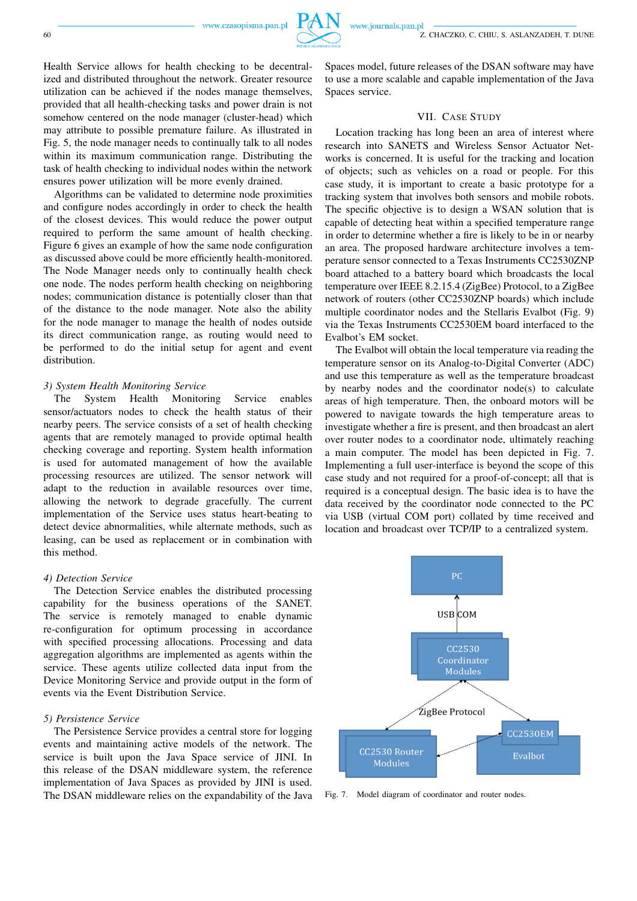www.journals.pan.pl

Health Service allows for health checking to be decentralized and distributed throughout the network. Greater resource utilization can be achieved if the nodes manage themselves, provided that all health-checking tasks and power drain is not somehow centered on the node manager (cluster-head) which may attribute to possible premature failure. As illustrated in Fig. 5, the node manager needs to continually talk to all nodes within its maximum communication range. Distributing the task of health checking to individual nodes within the network ensures power utilization will be more evenly drained.

Algorithms can be validated to determine node proximities and configure nodes accordingly in order to check the health of the closest devices. This would reduce the power output required to perform the same amount of health checking. Figure 6 gives an example of how the same node configuration as discussed above could be more efficiently health-monitored. The Node Manager needs only to continually health check one node. The nodes perform health checking on neighboring nodes; communication distance is potentially closer than that of the distance to the node manager. Note also the ability for the node manager to manage the health of nodes outside its direct communication range, as routing would need to be performed to do the initial setup for agent and event distribution.

## *3) System Health Monitoring Service*

The System Health Monitoring Service enables sensor/actuators nodes to check the health status of their nearby peers. The service consists of a set of health checking agents that are remotely managed to provide optimal health checking coverage and reporting. System health information is used for automated management of how the available processing resources are utilized. The sensor network will adapt to the reduction in available resources over time, allowing the network to degrade gracefully. The current implementation of the Service uses status heart-beating to detect device abnormalities, while alternate methods, such as leasing, can be used as replacement or in combination with this method.

## *4) Detection Service*

The Detection Service enables the distributed processing capability for the business operations of the SANET. The service is remotely managed to enable dynamic re-configuration for optimum processing in accordance with specified processing allocations. Processing and data aggregation algorithms are implemented as agents within the service. These agents utilize collected data input from the Device Monitoring Service and provide output in the form of events via the Event Distribution Service.

# *5) Persistence Service*

The Persistence Service provides a central store for logging events and maintaining active models of the network. The service is built upon the Java Space service of JINI. In this release of the DSAN middleware system, the reference implementation of Java Spaces as provided by JINI is used. The DSAN middleware relies on the expandability of the Java Spaces model, future releases of the DSAN software may have to use a more scalable and capable implementation of the Java Spaces service.

# VII. CASE STUDY

Location tracking has long been an area of interest where research into SANETS and Wireless Sensor Actuator Networks is concerned. It is useful for the tracking and location of objects; such as vehicles on a road or people. For this case study, it is important to create a basic prototype for a tracking system that involves both sensors and mobile robots. The specific objective is to design a WSAN solution that is capable of detecting heat within a specified temperature range in order to determine whether a fire is likely to be in or nearby an area. The proposed hardware architecture involves a temperature sensor connected to a Texas Instruments CC2530ZNP board attached to a battery board which broadcasts the local temperature over IEEE 8.2.15.4 (ZigBee) Protocol, to a ZigBee network of routers (other CC2530ZNP boards) which include multiple coordinator nodes and the Stellaris Evalbot (Fig. 9) via the Texas Instruments CC2530EM board interfaced to the Evalbot's EM socket.

The Evalbot will obtain the local temperature via reading the temperature sensor on its Analog-to-Digital Converter (ADC) and use this temperature as well as the temperature broadcast by nearby nodes and the coordinator node(s) to calculate areas of high temperature. Then, the onboard motors will be powered to navigate towards the high temperature areas to investigate whether a fire is present, and then broadcast an alert over router nodes to a coordinator node, ultimately reaching a main computer. The model has been depicted in Fig. 7. Implementing a full user-interface is beyond the scope of this case study and not required for a proof-of-concept; all that is required is a conceptual design. The basic idea is to have the data received by the coordinator node connected to the PC via USB (virtual COM port) collated by time received and location and broadcast over TCP/IP to a centralized system.



Fig. 7. Model diagram of coordinator and router nodes.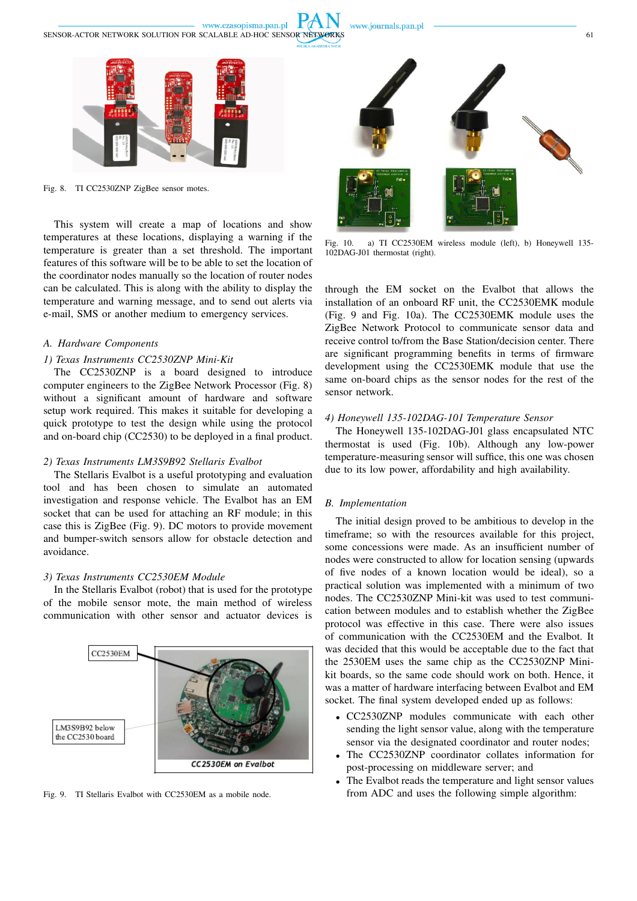



Fig. 8. TI CC2530ZNP ZigBee sensor motes.

This system will create a map of locations and show temperatures at these locations, displaying a warning if the temperature is greater than a set threshold. The important features of this software will be to be able to set the location of the coordinator nodes manually so the location of router nodes can be calculated. This is along with the ability to display the temperature and warning message, and to send out alerts via e-mail, SMS or another medium to emergency services.

# *A. Hardware Components*

## *1) Texas Instruments CC2530ZNP Mini-Kit*

The CC2530ZNP is a board designed to introduce computer engineers to the ZigBee Network Processor (Fig. 8) without a significant amount of hardware and software setup work required. This makes it suitable for developing a quick prototype to test the design while using the protocol and on-board chip (CC2530) to be deployed in a final product.

# *2) Texas Instruments LM3S9B92 Stellaris Evalbot*

The Stellaris Evalbot is a useful prototyping and evaluation tool and has been chosen to simulate an automated investigation and response vehicle. The Evalbot has an EM socket that can be used for attaching an RF module; in this case this is ZigBee (Fig. 9). DC motors to provide movement and bumper-switch sensors allow for obstacle detection and avoidance.

#### *3) Texas Instruments CC2530EM Module*

In the Stellaris Evalbot (robot) that is used for the prototype of the mobile sensor mote, the main method of wireless communication with other sensor and actuator devices is



Fig. 9. TI Stellaris Evalbot with CC2530EM as a mobile node.



Fig. 10. a) TI CC2530EM wireless module (left), b) Honeywell 135- 102DAG-J01 thermostat (right).

through the EM socket on the Evalbot that allows the installation of an onboard RF unit, the CC2530EMK module (Fig. 9 and Fig. 10a). The CC2530EMK module uses the ZigBee Network Protocol to communicate sensor data and receive control to/from the Base Station/decision center. There are significant programming benefits in terms of firmware development using the CC2530EMK module that use the same on-board chips as the sensor nodes for the rest of the sensor network.

# *4) Honeywell 135-102DAG-101 Temperature Sensor*

The Honeywell 135-102DAG-J01 glass encapsulated NTC thermostat is used (Fig. 10b). Although any low-power temperature-measuring sensor will suffice, this one was chosen due to its low power, affordability and high availability.

#### *B. Implementation*

The initial design proved to be ambitious to develop in the timeframe; so with the resources available for this project, some concessions were made. As an insufficient number of nodes were constructed to allow for location sensing (upwards of five nodes of a known location would be ideal), so a practical solution was implemented with a minimum of two nodes. The CC2530ZNP Mini-kit was used to test communication between modules and to establish whether the ZigBee protocol was effective in this case. There were also issues of communication with the CC2530EM and the Evalbot. It was decided that this would be acceptable due to the fact that the 2530EM uses the same chip as the CC2530ZNP Minikit boards, so the same code should work on both. Hence, it was a matter of hardware interfacing between Evalbot and EM socket. The final system developed ended up as follows:

- CC2530ZNP modules communicate with each other sending the light sensor value, along with the temperature sensor via the designated coordinator and router nodes;
- The CC2530ZNP coordinator collates information for post-processing on middleware server; and
- The Evalbot reads the temperature and light sensor values from ADC and uses the following simple algorithm: